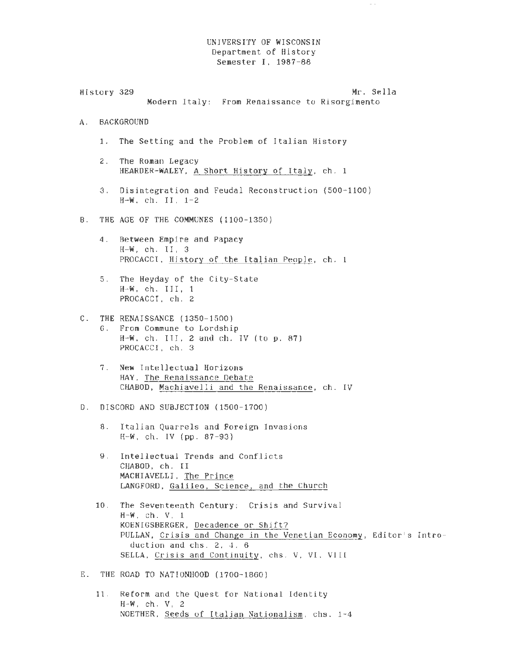## UNIVERSITY OF WISCONSIN Department of History Semester I, 1987-88

 $\sim$   $\sim$ 

| History 329 | Mr. Sella<br>Modern Italy: From Renaissance to Risorgimento                                                                                                                                                                                                   |
|-------------|---------------------------------------------------------------------------------------------------------------------------------------------------------------------------------------------------------------------------------------------------------------|
| A.          | <b>BACKGROUND</b>                                                                                                                                                                                                                                             |
| 1.          | The Setting and the Problem of Italian History                                                                                                                                                                                                                |
| 2.          | The Roman Legacy<br>HEARDER-WALEY, A Short History of Italy, ch. 1                                                                                                                                                                                            |
|             | 3. Disintegration and Feudal Reconstruction (500-1100)<br>$H-W$ , ch. II, $1-2$                                                                                                                                                                               |
| <b>B</b> .  | THE AGE OF THE COMMUNES (1100-1350)                                                                                                                                                                                                                           |
| 4.          | Between Empire and Papacy<br>$H-W$ , ch. II, 3<br>PROCACCI, History of the Italian People, ch. 1                                                                                                                                                              |
| 5.          | The Heyday of the City-State<br>$H-W$ , ch. III, 1<br>PROCACCI, ch. 2                                                                                                                                                                                         |
| $C$ .       | THE RENAISSANCE (1350-1500)<br>6. From Commune to Lordship<br>$H-W$ , ch. III, 2 and ch. IV (to $p. 87$ )<br>PROCACCI, ch. 3                                                                                                                                  |
|             | 7. New Intellectual Horizons<br>HAY, The Renaissance Debate<br>CHABOD, Machiavelli and the Renaissance, ch. IV                                                                                                                                                |
| D.          | DISCORD AND SUBJECTION (1500-1700)                                                                                                                                                                                                                            |
|             | 8. Italian Quarrels and Foreign Invasions<br>$H-W$ , ch. IV (pp. 87-93)                                                                                                                                                                                       |
| 9.          | Intellectual Trends and Conflicts<br>CHABOD, ch. II<br>MACHIAVELLI, The Prince<br>LANGFORD, Galileo, Science, and the Church                                                                                                                                  |
| 10.         | The Seventeenth Century: Crisis and Survival<br>$H-W$ , ch. $V$ , 1<br>KOENIGSBERGER, Decadence or Shift?<br>PULLAN, Crisis and Change in the Venetian Economy, Editor's Intro-<br>duction and chs. 2, 4, 6<br>SELLA, Crisis and Continuity, chs. V. VI. VIII |
| Е.          | THE ROAD TO NATIONHOOD (1700-1860)                                                                                                                                                                                                                            |
|             |                                                                                                                                                                                                                                                               |

11. Reform and the Quest for National Identity  $H-W$ , ch.  $V$ , 2 NOETHER, Seeds of Italian Nationalism, chs. 1-4